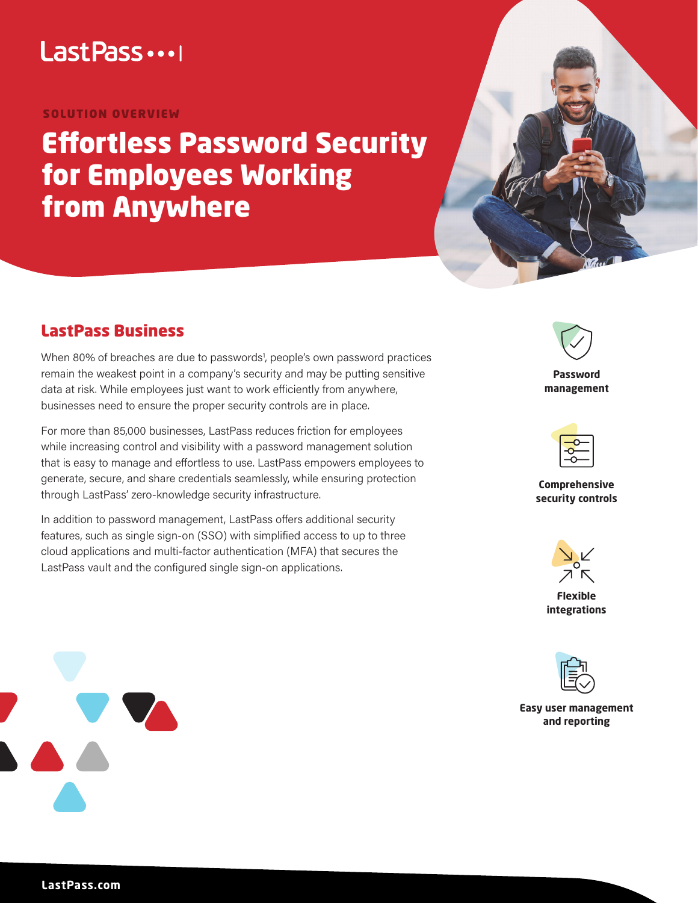# LastPass ...

### SOLUTION OVERVIEW

# Effortless Password Security for Employees Working from Anywhere



## LastPass Business

When 80% of breaches are due to passwords<sup>1</sup>, people's own password practices remain the weakest point in a company's security and may be putting sensitive data at risk. While employees just want to work efficiently from anywhere, businesses need to ensure the proper security controls are in place.

For more than 85,000 businesses, LastPass reduces friction for employees while increasing control and visibility with a password management solution that is easy to manage and effortless to use. LastPass empowers employees to generate, secure, and share credentials seamlessly, while ensuring protection through LastPass' zero-knowledge security infrastructure.

In addition to password management, LastPass offers additional security features, such as single sign-on (SSO) with simplified access to up to three cloud applications and multi-factor authentication (MFA) that secures the LastPass vault and the configured single sign-on applications.



**Password management**



**Comprehensive security controls** 



**Flexible integrations** 



**Easy user management and reporting** 

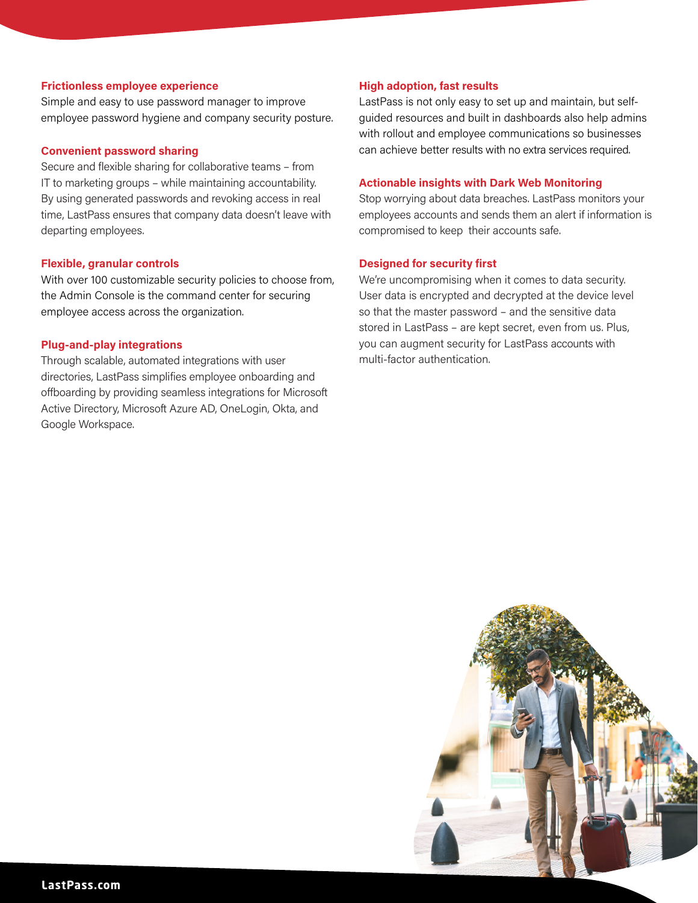#### **Frictionless employee experience**

Simple and easy to use password manager to improve employee password hygiene and company security posture.

#### **Convenient password sharing**

Secure and flexible sharing for collaborative teams – from IT to marketing groups – while maintaining accountability. By using generated passwords and revoking access in real time, LastPass ensures that company data doesn't leave with departing employees.

#### **Flexible, granular controls**

With over 100 customizable security policies to choose from, the Admin Console is the command center for securing employee access across the organization.

#### **Plug-and-play integrations**

Through scalable, automated integrations with user directories, LastPass simplifies employee onboarding and offboarding by providing seamless integrations for Microsoft Active Directory, Microsoft Azure AD, OneLogin, Okta, and Google Workspace.

#### **High adoption, fast results**

LastPass is not only easy to set up and maintain, but selfguided resources and built in dashboards also help admins with rollout and employee communications so businesses can achieve better results with no extra services required.

#### **Actionable insights with Dark Web Monitoring**

Stop worrying about data breaches. LastPass monitors your employees accounts and sends them an alert if information is compromised to keep their accounts safe.

#### **Designed for security first**

We're uncompromising when it comes to data security. User data is encrypted and decrypted at the device level so that the master password – and the sensitive data stored in LastPass – are kept secret, even from us. Plus, you can augment security for LastPass accounts with multi-factor authentication.